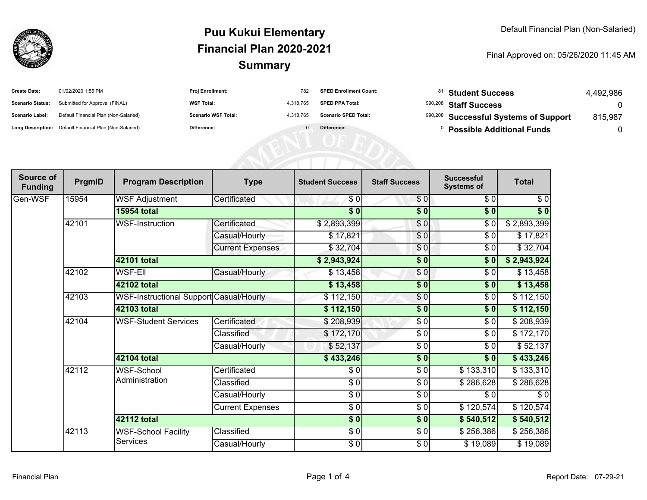

## **SummaryPuu Kukui ElementaryFinancial Plan 2020-2021**

Final Approved on: 05/26/2020 11:45 AM

| <b>Create Date:</b>     | 01/02/2020 1:55 PM                                      | <b>Proj Enrollment:</b>    | 782       | <b>SPED Enrollment Count:</b> | <sup>81</sup> Student Success         | 4.492.986 |
|-------------------------|---------------------------------------------------------|----------------------------|-----------|-------------------------------|---------------------------------------|-----------|
| <b>Scenario Status:</b> | Submitted for Approval (FINAL)                          | <b>WSF Total:</b>          | 4.318.765 | <b>SPED PPA Total:</b>        | <sup>990,208</sup> Staff Success      |           |
| Scenario Label:         | Default Financial Plan (Non-Salaried)                   | <b>Scenario WSF Total:</b> | 4.318.765 | <b>Scenario SPED Total:</b>   | 990,208 Successful Systems of Support | 815,987   |
|                         | Long Description: Default Financial Plan (Non-Salaried) | Difference:                |           | Difference:                   | <b>Possible Additional Funds</b>      |           |

| Source of<br><b>Funding</b> | PrgmID | <b>Program Description</b>              | <b>Type</b>             | <b>Student Success</b> | <b>Staff Success</b> | <b>Successful</b><br><b>Systems of</b> | <b>Total</b> |           |
|-----------------------------|--------|-----------------------------------------|-------------------------|------------------------|----------------------|----------------------------------------|--------------|-----------|
| Gen-WSF                     | 15954  | <b>WSF Adjustment</b>                   | Certificated            | \$0                    | \$0                  | \$0                                    | \$0          |           |
|                             |        | <b>15954 total</b>                      |                         | \$0                    | \$0                  | \$0                                    | $\sqrt[6]{}$ |           |
|                             | 42101  | <b>WSF-Instruction</b>                  | Certificated            | \$2,893,399            | \$0                  | \$0                                    | \$2,893,399  |           |
|                             |        |                                         | Casual/Hourly           | \$17,821               | \$0                  | \$0                                    | \$17,821     |           |
|                             |        |                                         | <b>Current Expenses</b> | \$32,704               | \$0                  | $\sqrt{6}$                             | \$32,704     |           |
|                             |        | 42101 total                             |                         | \$2,943,924            | $\frac{1}{2}$        | \$0                                    | \$2,943,924  |           |
|                             | 42102  | WSF-EII                                 | Casual/Hourly           | \$13,458               | \$0                  | \$0                                    | \$13,458     |           |
|                             |        | 42102 total                             |                         | \$13,458               | $\frac{1}{6}$        | \$0                                    | \$13,458     |           |
|                             | 42103  | WSF-Instructional Support Casual/Hourly |                         | \$112,150              | $\frac{1}{\sqrt{2}}$ | \$0                                    | \$112,150    |           |
|                             |        | <b>42103 total</b>                      |                         | \$112,150              | $\overline{\bullet}$ | \$0                                    | \$112,150    |           |
|                             | 42104  | <b>WSF-Student Services</b>             | Certificated            | \$208,939              | $\frac{3}{6}$        | \$0                                    | \$208,939    |           |
|                             |        |                                         | Classified              | \$172,170              | \$0                  | \$0                                    | \$172,170    |           |
|                             |        |                                         | Casual/Hourly           | \$52,137               | $\frac{1}{\epsilon}$ | \$0                                    | \$52,137     |           |
|                             |        | <b>42104 total</b>                      |                         | \$433,246              | $\overline{\bullet}$ | \$0                                    | \$433,246    |           |
|                             | 42112  |                                         | <b>WSF-School</b>       | Certificated           | \$0                  | \$0                                    | \$133,310    | \$133,310 |
|                             |        | Administration                          | Classified              | \$0                    | \$0                  | \$286,628                              | \$286,628    |           |
|                             |        |                                         | Casual/Hourly           | $\frac{3}{2}$          | $\frac{3}{6}$        | \$0                                    | $\sqrt{6}$   |           |
|                             |        |                                         | <b>Current Expenses</b> | $\frac{3}{2}$          | $\sqrt{6}$           | \$120,574                              | \$120,574    |           |
|                             |        | 42112 total                             |                         | $\sqrt{5}$             | $\frac{1}{6}$        | \$540,512                              | \$540,512    |           |
|                             | 42113  | <b>WSF-School Facility</b><br>Services  | Classified              | $\frac{3}{6}$          | $\frac{3}{6}$        | \$256,386                              | \$256,386    |           |
|                             |        |                                         | Casual/Hourly           | $\frac{6}{6}$          | $\frac{6}{6}$        | \$19,089                               | \$19,089     |           |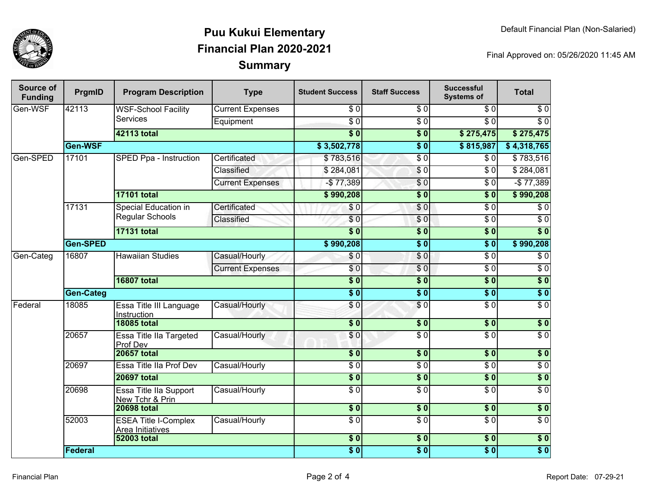

## **SummaryPuu Kukui ElementaryFinancial Plan 2020-2021**

Final Approved on: 05/26/2020 11:45 AM

| Source of<br><b>Funding</b> | PrgmID           | <b>Program Description</b>                      | <b>Type</b>             | <b>Student Success</b>   | <b>Staff Success</b> | <b>Successful</b><br><b>Systems of</b> | <b>Total</b>     |
|-----------------------------|------------------|-------------------------------------------------|-------------------------|--------------------------|----------------------|----------------------------------------|------------------|
| Gen-WSF                     | 42113            | <b>WSF-School Facility</b><br><b>Services</b>   | <b>Current Expenses</b> | \$0                      | $\overline{\$0}$     | \$0                                    | $\sqrt{6}$       |
|                             |                  |                                                 | Equipment               | $\overline{50}$          | $\overline{\$0}$     | $\overline{\$0}$                       | $\overline{\$0}$ |
|                             |                  | 42113 total                                     |                         | $\overline{\bullet}$     | $\overline{\$0}$     | \$275,475                              | \$275,475        |
|                             | Gen-WSF          |                                                 |                         | \$3,502,778              | $\overline{\$0}$     | \$815,987                              | \$4,318,765      |
| Gen-SPED                    | 17101            | SPED Ppa - Instruction                          | Certificated            | \$783,516                | $\overline{\$0}$     | \$0                                    | \$783,516        |
|                             |                  |                                                 | Classified              | \$284,081                | $\sqrt{6}$           | $\overline{\$0}$                       | \$284,081        |
|                             |                  |                                                 | <b>Current Expenses</b> | $-$77,389$               | \$0                  | $\overline{\$0}$                       | $-$77,389$       |
|                             |                  | <b>17101 total</b>                              |                         | \$990,208                | $\overline{\$0}$     | $\overline{\$0}$                       | \$990,208        |
|                             | 17131            | Special Education in<br><b>Regular Schools</b>  | Certificated            | \$0                      | \$0                  | $\overline{\$0}$                       | $\sqrt{6}$       |
|                             |                  |                                                 | Classified              | \$0                      | \$0                  | $\overline{\$0}$                       | $\overline{\$0}$ |
|                             |                  | <b>17131 total</b>                              |                         | $\overline{\$0}$         | $\overline{\$0}$     | $\sqrt{50}$                            | $\overline{\$0}$ |
|                             | <b>Gen-SPED</b>  |                                                 |                         | \$990,208                | $\overline{\$0}$     | $\overline{\$0}$                       | \$990,208        |
| Gen-Categ                   | 16807            | <b>Hawaiian Studies</b>                         | Casual/Hourly           | \$0                      | \$0                  | $\overline{\$0}$                       | $\sqrt{6}$       |
|                             |                  |                                                 | <b>Current Expenses</b> | \$0                      | $\frac{6}{6}$        | $\overline{\$0}$                       | $\sqrt{6}$       |
|                             |                  | <b>16807 total</b>                              |                         | $\overline{\$0}$         | $\overline{\$0}$     | $\overline{\$0}$                       | $\overline{\$0}$ |
|                             | <b>Gen-Categ</b> |                                                 |                         | $\overline{\$0}$         | $\overline{\$0}$     | $\overline{\$0}$                       | $\overline{\$0}$ |
| Federal                     | 18085            | Essa Title III Language<br>Instruction          | Casual/Hourly           | \$0                      | \$0                  | $\overline{\$0}$                       | $\overline{\$0}$ |
|                             |                  | <b>18085 total</b>                              |                         | $s$ <sub>0</sub>         | \$0                  | \$0                                    | $\sqrt{ }$       |
|                             | 20657            | Essa Title IIa Targeted<br>Prof Dev             | Casual/Hourly           | \$0                      | $\overline{\$0}$     | $\overline{\$0}$                       | $\overline{\$0}$ |
|                             |                  | <b>20657 total</b>                              |                         | $\overline{\bullet}$     | $\frac{1}{2}$        | $\sqrt{6}$                             | $\overline{\$0}$ |
|                             | 20697            | Essa Title IIa Prof Dev                         | Casual/Hourly           | $\sqrt{6}$               | $\sqrt{6}$           | $\overline{\$0}$                       | $\sqrt{6}$       |
|                             |                  | <b>20697 total</b>                              |                         | \$0                      | $\overline{\$0}$     | \$0                                    | $\overline{\$0}$ |
|                             | 20698            | Essa Title Ila Support<br>New Tchr & Prin       | Casual/Hourly           | $\sqrt{6}$               | $\overline{30}$      | $\overline{50}$                        | $\sqrt{6}$       |
|                             |                  | <b>20698 total</b>                              |                         | $\overline{\textbf{50}}$ | $\overline{\$0}$     | $\overline{\$0}$                       | $\overline{\$0}$ |
|                             | 52003            | <b>ESEA Title I-Complex</b><br>Area Initiatives | Casual/Hourly           | $\overline{\$0}$         | $\overline{S}0$      | $\overline{\$0}$                       | $\sqrt{6}$       |
|                             |                  | <b>52003 total</b>                              |                         | $\overline{\textbf{50}}$ | s <sub>0</sub>       | \$0                                    | $\sqrt{ }$       |
|                             | Federal          |                                                 |                         | $\overline{\$0}$         | $\overline{\$0}$     | $\overline{\$0}$                       | $\overline{\$0}$ |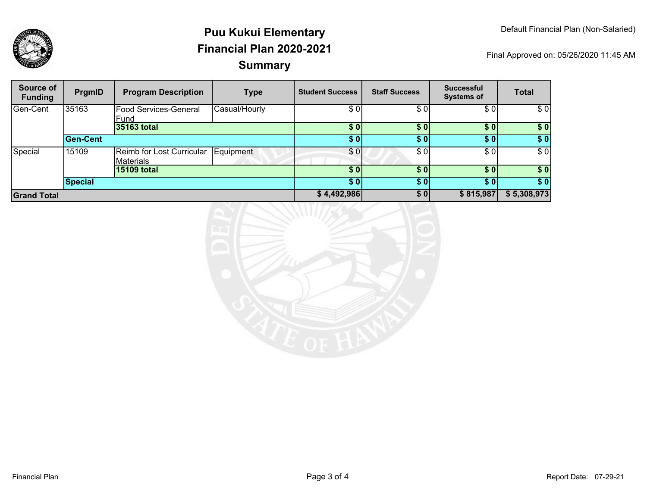

## **SummaryPuu Kukui ElementaryFinancial Plan 2020-2021**

Final Approved on: 05/26/2020 11:45 AM

| Source of<br><b>Funding</b> | PrgmID   | <b>Program Description</b>                    | Type          | <b>Student Success</b> | <b>Staff Success</b> | <b>Successful</b><br><b>Systems of</b> | <b>Total</b> |
|-----------------------------|----------|-----------------------------------------------|---------------|------------------------|----------------------|----------------------------------------|--------------|
| Gen-Cent                    | 35163    | <b>Food Services-General</b><br>Fund          | Casual/Hourly | \$0                    | \$0                  | \$0                                    | \$0          |
|                             |          | 35163 total                                   |               | \$0                    | \$0                  | \$0                                    | \$0          |
|                             | Gen-Cent |                                               |               | \$0                    | \$0                  | \$01                                   | \$0          |
| Special                     | 15109    | Reimb for Lost Curricular<br><b>Materials</b> | Equipment     | \$0                    | \$0                  | \$0                                    | \$0          |
|                             |          | 15109 total                                   |               | \$0                    | \$0                  | \$0]                                   | \$0          |
|                             | Special  |                                               |               | \$0                    | \$0                  | \$01                                   | \$0          |
| <b>Grand Total</b>          |          |                                               | \$4,492,986   | \$0                    | \$815,987            | \$5,308,973                            |              |